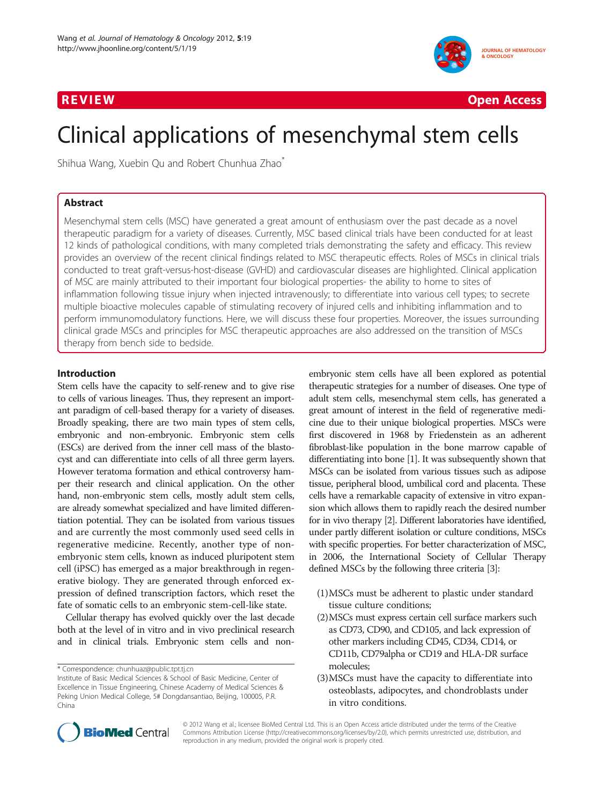

R EVI EW Open Access

# Clinical applications of mesenchymal stem cells

Shihua Wang, Xuebin Qu and Robert Chunhua Zhao\*

# Abstract

Mesenchymal stem cells (MSC) have generated a great amount of enthusiasm over the past decade as a novel therapeutic paradigm for a variety of diseases. Currently, MSC based clinical trials have been conducted for at least 12 kinds of pathological conditions, with many completed trials demonstrating the safety and efficacy. This review provides an overview of the recent clinical findings related to MSC therapeutic effects. Roles of MSCs in clinical trials conducted to treat graft-versus-host-disease (GVHD) and cardiovascular diseases are highlighted. Clinical application of MSC are mainly attributed to their important four biological properties- the ability to home to sites of inflammation following tissue injury when injected intravenously; to differentiate into various cell types; to secrete multiple bioactive molecules capable of stimulating recovery of injured cells and inhibiting inflammation and to perform immunomodulatory functions. Here, we will discuss these four properties. Moreover, the issues surrounding clinical grade MSCs and principles for MSC therapeutic approaches are also addressed on the transition of MSCs therapy from bench side to bedside.

# Introduction

Stem cells have the capacity to self-renew and to give rise to cells of various lineages. Thus, they represent an important paradigm of cell-based therapy for a variety of diseases. Broadly speaking, there are two main types of stem cells, embryonic and non-embryonic. Embryonic stem cells (ESCs) are derived from the inner cell mass of the blastocyst and can differentiate into cells of all three germ layers. However teratoma formation and ethical controversy hamper their research and clinical application. On the other hand, non-embryonic stem cells, mostly adult stem cells, are already somewhat specialized and have limited differentiation potential. They can be isolated from various tissues and are currently the most commonly used seed cells in regenerative medicine. Recently, another type of nonembryonic stem cells, known as induced pluripotent stem cell (iPSC) has emerged as a major breakthrough in regenerative biology. They are generated through enforced expression of defined transcription factors, which reset the fate of somatic cells to an embryonic stem-cell-like state.

Cellular therapy has evolved quickly over the last decade both at the level of in vitro and in vivo preclinical research and in clinical trials. Embryonic stem cells and non-

\* Correspondence: [chunhuaz@public.tpt.tj.cn](mailto:chunhuaz@public.tpt.tj.cn)

embryonic stem cells have all been explored as potential therapeutic strategies for a number of diseases. One type of adult stem cells, mesenchymal stem cells, has generated a great amount of interest in the field of regenerative medicine due to their unique biological properties. MSCs were first discovered in 1968 by Friedenstein as an adherent fibroblast-like population in the bone marrow capable of differentiating into bone [\[1](#page-6-0)]. It was subsequently shown that MSCs can be isolated from various tissues such as adipose tissue, peripheral blood, umbilical cord and placenta. These cells have a remarkable capacity of extensive in vitro expansion which allows them to rapidly reach the desired number for in vivo therapy [\[2\]](#page-6-0). Different laboratories have identified, under partly different isolation or culture conditions, MSCs with specific properties. For better characterization of MSC, in 2006, the International Society of Cellular Therapy defined MSCs by the following three criteria [\[3\]](#page-6-0):

- (1)MSCs must be adherent to plastic under standard tissue culture conditions;
- (2)MSCs must express certain cell surface markers such as CD73, CD90, and CD105, and lack expression of other markers including CD45, CD34, CD14, or CD11b, CD79alpha or CD19 and HLA-DR surface molecules;
- (3)MSCs must have the capacity to differentiate into osteoblasts, adipocytes, and chondroblasts under in vitro conditions.



© 2012 Wang et al.; licensee BioMed Central Ltd. This is an Open Access article distributed under the terms of the Creative Commons Attribution License (http://creativecommons.org/licenses/by/2.0), which permits unrestricted use, distribution, and reproduction in any medium, provided the original work is properly cited.

Institute of Basic Medical Sciences & School of Basic Medicine, Center of Excellence in Tissue Engineering, Chinese Academy of Medical Sciences & Peking Union Medical College, 5# Dongdansantiao, Beijing, 100005, P.R. China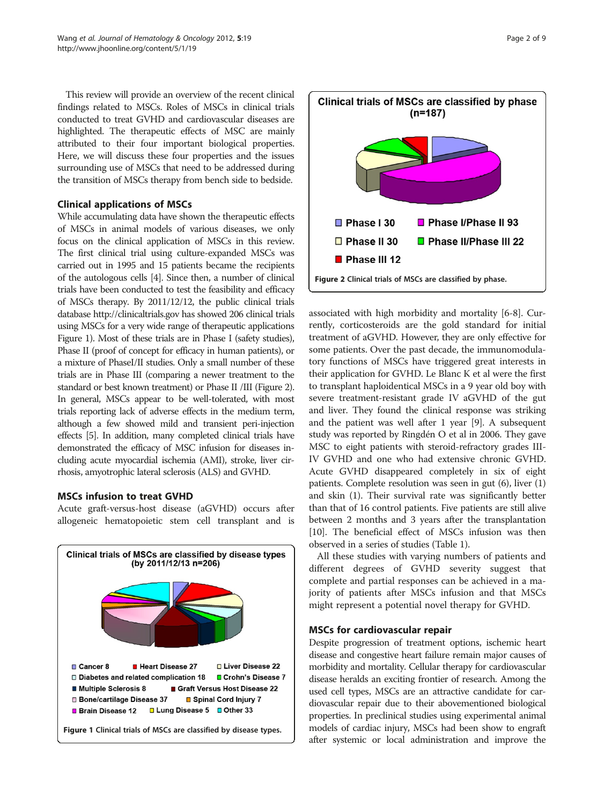This review will provide an overview of the recent clinical findings related to MSCs. Roles of MSCs in clinical trials conducted to treat GVHD and cardiovascular diseases are highlighted. The therapeutic effects of MSC are mainly attributed to their four important biological properties. Here, we will discuss these four properties and the issues surrounding use of MSCs that need to be addressed during the transition of MSCs therapy from bench side to bedside.

# Clinical applications of MSCs

While accumulating data have shown the therapeutic effects of MSCs in animal models of various diseases, we only focus on the clinical application of MSCs in this review. The first clinical trial using culture-expanded MSCs was carried out in 1995 and 15 patients became the recipients of the autologous cells [\[4](#page-6-0)]. Since then, a number of clinical trials have been conducted to test the feasibility and efficacy of MSCs therapy. By 2011/12/12, the public clinical trials database<http://clinicaltrials.gov> has showed 206 clinical trials using MSCs for a very wide range of therapeutic applications Figure 1). Most of these trials are in Phase I (safety studies), Phase II (proof of concept for efficacy in human patients), or a mixture of PhaseI/II studies. Only a small number of these trials are in Phase III (comparing a newer treatment to the standard or best known treatment) or Phase II /III (Figure 2). In general, MSCs appear to be well-tolerated, with most trials reporting lack of adverse effects in the medium term, although a few showed mild and transient peri-injection effects [[5](#page-6-0)]. In addition, many completed clinical trials have demonstrated the efficacy of MSC infusion for diseases including acute myocardial ischemia (AMI), stroke, liver cirrhosis, amyotrophic lateral sclerosis (ALS) and GVHD.

## MSCs infusion to treat GVHD

Acute graft-versus-host disease (aGVHD) occurs after allogeneic hematopoietic stem cell transplant and is





associated with high morbidity and mortality [[6-8\]](#page-6-0). Currently, corticosteroids are the gold standard for initial treatment of aGVHD. However, they are only effective for some patients. Over the past decade, the immunomodulatory functions of MSCs have triggered great interests in their application for GVHD. Le Blanc K et al were the first to transplant haploidentical MSCs in a 9 year old boy with severe treatment-resistant grade IV aGVHD of the gut and liver. They found the clinical response was striking and the patient was well after 1 year [[9\]](#page-6-0). A subsequent study was reported by Ringdén O et al in 2006. They gave MSC to eight patients with steroid-refractory grades III-IV GVHD and one who had extensive chronic GVHD. Acute GVHD disappeared completely in six of eight patients. Complete resolution was seen in gut (6), liver (1) and skin (1). Their survival rate was significantly better than that of 16 control patients. Five patients are still alive between 2 months and 3 years after the transplantation [[10](#page-6-0)]. The beneficial effect of MSCs infusion was then observed in a series of studies (Table [1](#page-2-0)).

All these studies with varying numbers of patients and different degrees of GVHD severity suggest that complete and partial responses can be achieved in a majority of patients after MSCs infusion and that MSCs might represent a potential novel therapy for GVHD.

## MSCs for cardiovascular repair

Despite progression of treatment options, ischemic heart disease and congestive heart failure remain major causes of morbidity and mortality. Cellular therapy for cardiovascular disease heralds an exciting frontier of research. Among the used cell types, MSCs are an attractive candidate for cardiovascular repair due to their abovementioned biological properties. In preclinical studies using experimental animal models of cardiac injury, MSCs had been show to engraft after systemic or local administration and improve the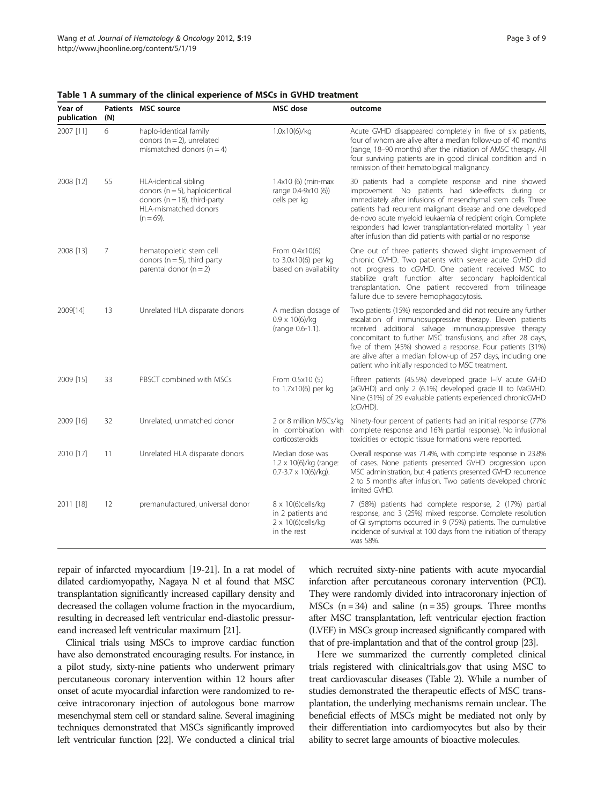| Year of<br>publication | (N) | Patients MSC source                                                                                                                      | <b>MSC</b> dose                                                                    | outcome                                                                                                                                                                                                                                                                                                                                                                                                                                    |
|------------------------|-----|------------------------------------------------------------------------------------------------------------------------------------------|------------------------------------------------------------------------------------|--------------------------------------------------------------------------------------------------------------------------------------------------------------------------------------------------------------------------------------------------------------------------------------------------------------------------------------------------------------------------------------------------------------------------------------------|
| 2007 [11]              | 6   | haplo-identical family<br>donors ( $n = 2$ ), unrelated<br>mismatched donors $(n = 4)$                                                   | 1.0x10(6)/kg                                                                       | Acute GVHD disappeared completely in five of six patients,<br>four of whom are alive after a median follow-up of 40 months<br>(range, 18-90 months) after the initiation of AMSC therapy. All<br>four surviving patients are in good clinical condition and in<br>remission of their hematological malignancy.                                                                                                                             |
| 2008 [12]              | 55  | HLA-identical sibling<br>donors ( $n = 5$ ), haploidentical<br>donors ( $n = 18$ ), third-party<br>HLA-mismatched donors<br>$(n = 69)$ . | $1.4x10(6)$ (min-max<br>range 0.4-9x10 (6))<br>cells per kg                        | 30 patients had a complete response and nine showed<br>improvement. No patients had side-effects during or<br>immediately after infusions of mesenchymal stem cells. Three<br>patients had recurrent malignant disease and one developed<br>de-novo acute myeloid leukaemia of recipient origin. Complete<br>responders had lower transplantation-related mortality 1 year<br>after infusion than did patients with partial or no response |
| 2008 [13]              | 7   | hematopoietic stem cell<br>donors ( $n = 5$ ), third party<br>parental donor $(n = 2)$                                                   | From 0.4x10(6)<br>to 3.0x10(6) per kg<br>based on availability                     | One out of three patients showed slight improvement of<br>chronic GVHD. Two patients with severe acute GVHD did<br>not progress to cGVHD. One patient received MSC to<br>stabilize graft function after secondary haploidentical<br>transplantation. One patient recovered from trilineage<br>failure due to severe hemophagocytosis.                                                                                                      |
| 2009[14]               | 13  | Unrelated HLA disparate donors                                                                                                           | A median dosage of<br>$0.9 \times 10(6)/kg$<br>(range 0.6-1.1).                    | Two patients (15%) responded and did not require any further<br>escalation of immunosuppressive therapy. Eleven patients<br>received additional salvage immunosuppressive therapy<br>concomitant to further MSC transfusions, and after 28 days,<br>five of them (45%) showed a response. Four patients (31%)<br>are alive after a median follow-up of 257 days, including one<br>patient who initially responded to MSC treatment.        |
| 2009 [15]              | 33  | PBSCT combined with MSCs                                                                                                                 | From 0.5x10 (5)<br>to 1.7x10(6) per kg                                             | Fifteen patients (45.5%) developed grade I-IV acute GVHD<br>(aGVHD) and only 2 (6.1%) developed grade III to IVaGVHD.<br>Nine (31%) of 29 evaluable patients experienced chronicGVHD<br>(cGVHD).                                                                                                                                                                                                                                           |
| 2009 [16]              | 32  | Unrelated, unmatched donor                                                                                                               | 2 or 8 million MSCs/kg<br>in combination with<br>corticosteroids                   | Ninety-four percent of patients had an initial response (77%<br>complete response and 16% partial response). No infusional<br>toxicities or ectopic tissue formations were reported.                                                                                                                                                                                                                                                       |
| 2010 [17]              | 11  | Unrelated HLA disparate donors                                                                                                           | Median dose was<br>$1.2 \times 10(6)/kg$ (range:<br>$0.7 - 3.7 \times 10(6)/kg$ ). | Overall response was 71.4%, with complete response in 23.8%<br>of cases. None patients presented GVHD progression upon<br>MSC administration, but 4 patients presented GVHD recurrence<br>2 to 5 months after infusion. Two patients developed chronic<br>limited GVHD.                                                                                                                                                                    |
| 2011 [18]              | 12  | premanufactured, universal donor                                                                                                         | 8 x 10(6)cells/kg<br>in 2 patients and<br>$2 \times 10(6)$ cells/kg<br>in the rest | 7 (58%) patients had complete response, 2 (17%) partial<br>response, and 3 (25%) mixed response. Complete resolution<br>of GI symptoms occurred in 9 (75%) patients. The cumulative<br>incidence of survival at 100 days from the initiation of therapy<br>was 58%.                                                                                                                                                                        |

#### <span id="page-2-0"></span>Table 1 A summary of the clinical experience of MSCs in GVHD treatment

repair of infarcted myocardium [\[19-21](#page-7-0)]. In a rat model of dilated cardiomyopathy, Nagaya N et al found that MSC transplantation significantly increased capillary density and decreased the collagen volume fraction in the myocardium, resulting in decreased left ventricular end-diastolic pressureand increased left ventricular maximum [\[21\]](#page-7-0).

Clinical trials using MSCs to improve cardiac function have also demonstrated encouraging results. For instance, in a pilot study, sixty-nine patients who underwent primary percutaneous coronary intervention within 12 hours after onset of acute myocardial infarction were randomized to receive intracoronary injection of autologous bone marrow mesenchymal stem cell or standard saline. Several imagining techniques demonstrated that MSCs significantly improved left ventricular function [[22](#page-7-0)]. We conducted a clinical trial which recruited sixty-nine patients with acute myocardial infarction after percutaneous coronary intervention (PCI). They were randomly divided into intracoronary injection of MSCs  $(n = 34)$  and saline  $(n = 35)$  groups. Three months after MSC transplantation, left ventricular ejection fraction (LVEF) in MSCs group increased significantly compared with that of pre-implantation and that of the control group [[23\]](#page-7-0).

Here we summarized the currently completed clinical trials registered with clinicaltrials.gov that using MSC to treat cardiovascular diseases (Table [2](#page-3-0)). While a number of studies demonstrated the therapeutic effects of MSC transplantation, the underlying mechanisms remain unclear. The beneficial effects of MSCs might be mediated not only by their differentiation into cardiomyocytes but also by their ability to secret large amounts of bioactive molecules.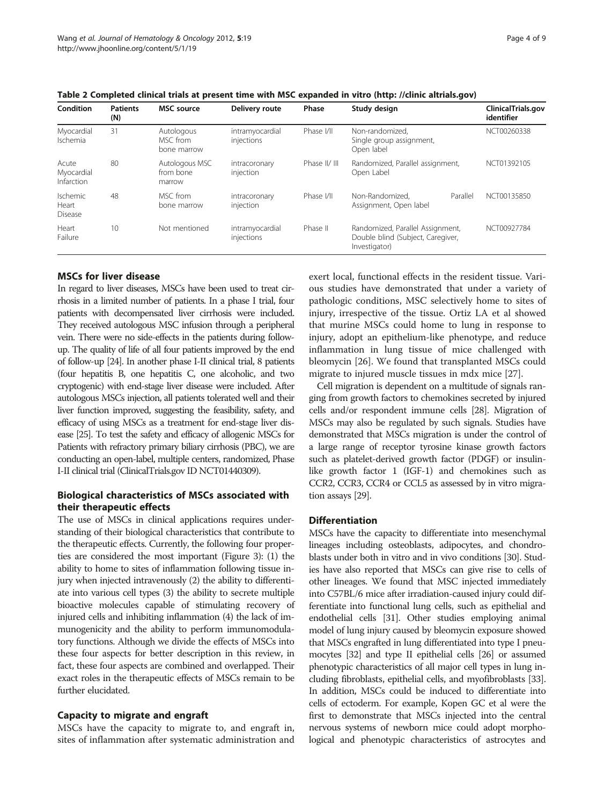| Condition                           | <b>Patients</b><br>(N) | <b>MSC</b> source                     | Delivery route                | Phase         | Study design                                                                           |          | ClinicalTrials.gov<br>identifier |
|-------------------------------------|------------------------|---------------------------------------|-------------------------------|---------------|----------------------------------------------------------------------------------------|----------|----------------------------------|
| Myocardial<br>Ischemia              | 31                     | Autologous<br>MSC from<br>bone marrow | intramyocardial<br>injections | Phase I/II    | Non-randomized.<br>Single group assignment,<br>Open label                              |          | NCT00260338                      |
| Acute<br>Myocardial<br>Infarction   | 80                     | Autologous MSC<br>from bone<br>marrow | intracoronary<br>injection    | Phase II/ III | Randomized, Parallel assignment,<br>Open Label                                         |          | NCT01392105                      |
| <b>Ischemic</b><br>Heart<br>Disease | 48                     | MSC from<br>bone marrow               | intracoronary<br>injection    | Phase I/II    | Non-Randomized.<br>Assignment, Open label                                              | Parallel | NCT00135850                      |
| Heart<br>Failure                    | 10                     | Not mentioned                         | intramyocardial<br>injections | Phase II      | Randomized, Parallel Assignment,<br>Double blind (Subject, Caregiver,<br>Investigator) |          | NCT00927784                      |

<span id="page-3-0"></span>Table 2 Completed clinical trials at present time with MSC expanded in vitro (http: //clinic altrials.gov)

# MSCs for liver disease

In regard to liver diseases, MSCs have been used to treat cirrhosis in a limited number of patients. In a phase I trial, four patients with decompensated liver cirrhosis were included. They received autologous MSC infusion through a peripheral vein. There were no side-effects in the patients during followup. The quality of life of all four patients improved by the end of follow-up [\[24](#page-7-0)]. In another phase I-II clinical trial, 8 patients (four hepatitis B, one hepatitis C, one alcoholic, and two cryptogenic) with end-stage liver disease were included. After autologous MSCs injection, all patients tolerated well and their liver function improved, suggesting the feasibility, safety, and efficacy of using MSCs as a treatment for end-stage liver disease [\[25\]](#page-7-0). To test the safety and efficacy of allogenic MSCs for Patients with refractory primary biliary cirrhosis (PBC), we are conducting an open-label, multiple centers, randomized, Phase I-II clinical trial (ClinicalTrials.gov ID NCT01440309).

# Biological characteristics of MSCs associated with their therapeutic effects

The use of MSCs in clinical applications requires understanding of their biological characteristics that contribute to the therapeutic effects. Currently, the following four properties are considered the most important (Figure [3\)](#page-4-0): (1) the ability to home to sites of inflammation following tissue injury when injected intravenously (2) the ability to differentiate into various cell types (3) the ability to secrete multiple bioactive molecules capable of stimulating recovery of injured cells and inhibiting inflammation (4) the lack of immunogenicity and the ability to perform immunomodulatory functions. Although we divide the effects of MSCs into these four aspects for better description in this review, in fact, these four aspects are combined and overlapped. Their exact roles in the therapeutic effects of MSCs remain to be further elucidated.

# Capacity to migrate and engraft

MSCs have the capacity to migrate to, and engraft in, sites of inflammation after systematic administration and exert local, functional effects in the resident tissue. Various studies have demonstrated that under a variety of pathologic conditions, MSC selectively home to sites of injury, irrespective of the tissue. Ortiz LA et al showed that murine MSCs could home to lung in response to injury, adopt an epithelium-like phenotype, and reduce inflammation in lung tissue of mice challenged with bleomycin [\[26\]](#page-7-0). We found that transplanted MSCs could migrate to injured muscle tissues in mdx mice [\[27\]](#page-7-0).

Cell migration is dependent on a multitude of signals ranging from growth factors to chemokines secreted by injured cells and/or respondent immune cells [\[28](#page-7-0)]. Migration of MSCs may also be regulated by such signals. Studies have demonstrated that MSCs migration is under the control of a large range of receptor tyrosine kinase growth factors such as platelet-derived growth factor (PDGF) or insulinlike growth factor 1 (IGF-1) and chemokines such as CCR2, CCR3, CCR4 or CCL5 as assessed by in vitro migration assays [\[29](#page-7-0)].

## **Differentiation**

MSCs have the capacity to differentiate into mesenchymal lineages including osteoblasts, adipocytes, and chondroblasts under both in vitro and in vivo conditions [\[30](#page-7-0)]. Studies have also reported that MSCs can give rise to cells of other lineages. We found that MSC injected immediately into C57BL/6 mice after irradiation-caused injury could differentiate into functional lung cells, such as epithelial and endothelial cells [[31](#page-7-0)]. Other studies employing animal model of lung injury caused by bleomycin exposure showed that MSCs engrafted in lung differentiated into type I pneumocytes [\[32\]](#page-7-0) and type II epithelial cells [\[26](#page-7-0)] or assumed phenotypic characteristics of all major cell types in lung including fibroblasts, epithelial cells, and myofibroblasts [\[33](#page-7-0)]. In addition, MSCs could be induced to differentiate into cells of ectoderm. For example, Kopen GC et al were the first to demonstrate that MSCs injected into the central nervous systems of newborn mice could adopt morphological and phenotypic characteristics of astrocytes and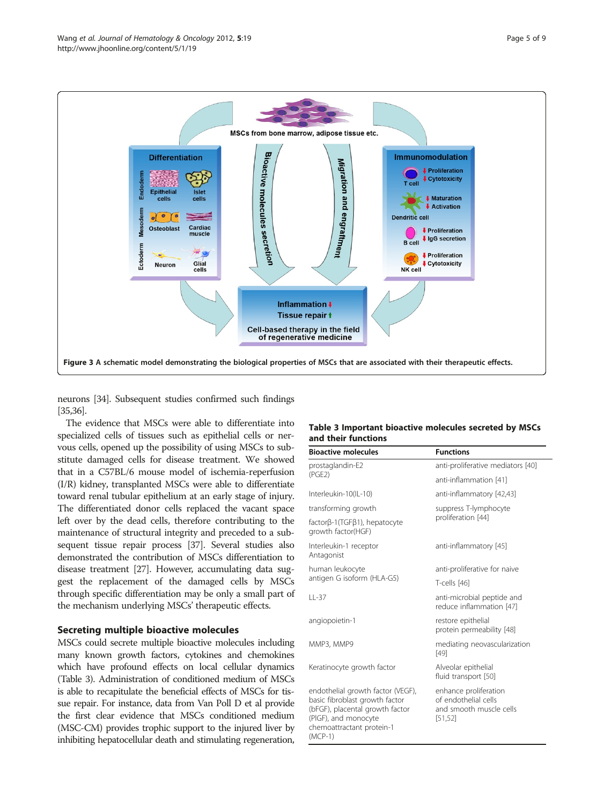<span id="page-4-0"></span>

neurons [\[34\]](#page-7-0). Subsequent studies confirmed such findings [[35,36\]](#page-7-0).

The evidence that MSCs were able to differentiate into specialized cells of tissues such as epithelial cells or nervous cells, opened up the possibility of using MSCs to substitute damaged cells for disease treatment. We showed that in a C57BL/6 mouse model of ischemia-reperfusion (I/R) kidney, transplanted MSCs were able to differentiate toward renal tubular epithelium at an early stage of injury. The differentiated donor cells replaced the vacant space left over by the dead cells, therefore contributing to the maintenance of structural integrity and preceded to a subsequent tissue repair process [\[37\]](#page-7-0). Several studies also demonstrated the contribution of MSCs differentiation to disease treatment [[27](#page-7-0)]. However, accumulating data suggest the replacement of the damaged cells by MSCs through specific differentiation may be only a small part of the mechanism underlying MSCs' therapeutic effects.

## Secreting multiple bioactive molecules

MSCs could secrete multiple bioactive molecules including many known growth factors, cytokines and chemokines which have profound effects on local cellular dynamics (Table 3). Administration of conditioned medium of MSCs is able to recapitulate the beneficial effects of MSCs for tissue repair. For instance, data from Van Poll D et al provide the first clear evidence that MSCs conditioned medium (MSC-CM) provides trophic support to the injured liver by inhibiting hepatocellular death and stimulating regeneration,

## Table 3 Important bioactive molecules secreted by MSCs and their functions

| <b>Bioactive molecules</b>                                                                                                                                               | <b>Functions</b>                                                                     |  |  |
|--------------------------------------------------------------------------------------------------------------------------------------------------------------------------|--------------------------------------------------------------------------------------|--|--|
| prostaglandin-E2                                                                                                                                                         | anti-proliferative mediators [40]                                                    |  |  |
| (PGE2)                                                                                                                                                                   | anti-inflammation [41]                                                               |  |  |
| Interleukin-10(IL-10)                                                                                                                                                    | anti-inflammatory [42,43]                                                            |  |  |
| transforming growth                                                                                                                                                      | suppress T-lymphocyte                                                                |  |  |
| factorβ-1(TGFβ1), hepatocyte<br>growth factor(HGF)                                                                                                                       | proliferation [44]                                                                   |  |  |
| Interleukin-1 receptor<br>Antagonist                                                                                                                                     | anti-inflammatory [45]                                                               |  |  |
| human leukocyte                                                                                                                                                          | anti-proliferative for naive                                                         |  |  |
| antigen G isoform (HLA-G5)                                                                                                                                               | T-cells [46]                                                                         |  |  |
| $11 - 37$                                                                                                                                                                | anti-microbial peptide and<br>reduce inflammation [47]                               |  |  |
| angiopoietin-1                                                                                                                                                           | restore epithelial<br>protein permeability [48]                                      |  |  |
| MMP3, MMP9                                                                                                                                                               | mediating neovascularization<br>$[49]$                                               |  |  |
| Keratinocyte growth factor                                                                                                                                               | Alveolar epithelial<br>fluid transport [50]                                          |  |  |
| endothelial growth factor (VEGF),<br>basic fibroblast growth factor<br>(bFGF), placental growth factor<br>(PIGF), and monocyte<br>chemoattractant protein-1<br>$(MCP-1)$ | enhance proliferation<br>of endothelial cells<br>and smooth muscle cells<br>[51, 52] |  |  |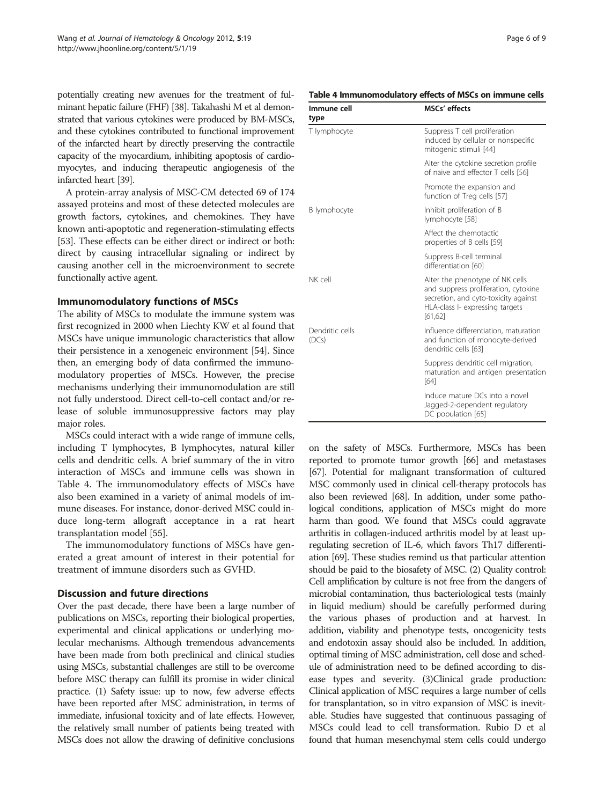potentially creating new avenues for the treatment of fulminant hepatic failure (FHF) [\[38](#page-7-0)]. Takahashi M et al demonstrated that various cytokines were produced by BM-MSCs, and these cytokines contributed to functional improvement of the infarcted heart by directly preserving the contractile capacity of the myocardium, inhibiting apoptosis of cardiomyocytes, and inducing therapeutic angiogenesis of the infarcted heart [\[39\]](#page-7-0).

A protein-array analysis of MSC-CM detected 69 of 174 assayed proteins and most of these detected molecules are growth factors, cytokines, and chemokines. They have known anti-apoptotic and regeneration-stimulating effects [[53](#page-7-0)]. These effects can be either direct or indirect or both: direct by causing intracellular signaling or indirect by causing another cell in the microenvironment to secrete functionally active agent.

## Immunomodulatory functions of MSCs

The ability of MSCs to modulate the immune system was first recognized in 2000 when Liechty KW et al found that MSCs have unique immunologic characteristics that allow their persistence in a xenogeneic environment [\[54\]](#page-7-0). Since then, an emerging body of data confirmed the immunomodulatory properties of MSCs. However, the precise mechanisms underlying their immunomodulation are still not fully understood. Direct cell-to-cell contact and/or release of soluble immunosuppressive factors may play major roles.

MSCs could interact with a wide range of immune cells, including T lymphocytes, B lymphocytes, natural killer cells and dendritic cells. A brief summary of the in vitro interaction of MSCs and immune cells was shown in Table 4. The immunomodulatory effects of MSCs have also been examined in a variety of animal models of immune diseases. For instance, donor-derived MSC could induce long-term allograft acceptance in a rat heart transplantation model [[55](#page-8-0)].

The immunomodulatory functions of MSCs have generated a great amount of interest in their potential for treatment of immune disorders such as GVHD.

## Discussion and future directions

Over the past decade, there have been a large number of publications on MSCs, reporting their biological properties, experimental and clinical applications or underlying molecular mechanisms. Although tremendous advancements have been made from both preclinical and clinical studies using MSCs, substantial challenges are still to be overcome before MSC therapy can fulfill its promise in wider clinical practice. (1) Safety issue: up to now, few adverse effects have been reported after MSC administration, in terms of immediate, infusional toxicity and of late effects. However, the relatively small number of patients being treated with MSCs does not allow the drawing of definitive conclusions

| Page 6 of 9 |  |  |  |
|-------------|--|--|--|
|-------------|--|--|--|

#### Table 4 Immunomodulatory effects of MSCs on immune cells

| Immune cell<br>type      | <b>MSCs'</b> effects                                                                                                                                           |  |
|--------------------------|----------------------------------------------------------------------------------------------------------------------------------------------------------------|--|
| T lymphocyte             | Suppress T cell proliferation<br>induced by cellular or nonspecific<br>mitogenic stimuli [44]                                                                  |  |
|                          | Alter the cytokine secretion profile<br>of naive and effector T cells [56]                                                                                     |  |
|                          | Promote the expansion and<br>function of Treg cells [57]                                                                                                       |  |
| B lymphocyte             | Inhibit proliferation of B<br>lymphocyte [58]                                                                                                                  |  |
|                          | Affect the chemotactic<br>properties of B cells [59]                                                                                                           |  |
|                          | Suppress B-cell terminal<br>differentiation [60]                                                                                                               |  |
| NK cell                  | Alter the phenotype of NK cells<br>and suppress proliferation, cytokine<br>secretion, and cyto-toxicity against<br>HLA-class I- expressing targets<br>[61, 62] |  |
| Dendritic cells<br>(DCs) | Influence differentiation, maturation<br>and function of monocyte-derived<br>dendritic cells [63]                                                              |  |
|                          | Suppress dendritic cell migration,<br>maturation and antigen presentation<br>[64]                                                                              |  |
|                          | Induce mature DCs into a novel<br>Jagged-2-dependent regulatory<br>DC population [65]                                                                          |  |

on the safety of MSCs. Furthermore, MSCs has been reported to promote tumor growth [[66](#page-8-0)] and metastases [[67](#page-8-0)]. Potential for malignant transformation of cultured MSC commonly used in clinical cell-therapy protocols has also been reviewed [[68\]](#page-8-0). In addition, under some pathological conditions, application of MSCs might do more harm than good. We found that MSCs could aggravate arthritis in collagen-induced arthritis model by at least upregulating secretion of IL-6, which favors Th17 differentiation [\[69\]](#page-8-0). These studies remind us that particular attention should be paid to the biosafety of MSC. (2) Quality control: Cell amplification by culture is not free from the dangers of microbial contamination, thus bacteriological tests (mainly in liquid medium) should be carefully performed during the various phases of production and at harvest. In addition, viability and phenotype tests, oncogenicity tests and endotoxin assay should also be included. In addition, optimal timing of MSC administration, cell dose and schedule of administration need to be defined according to disease types and severity. (3)Clinical grade production: Clinical application of MSC requires a large number of cells for transplantation, so in vitro expansion of MSC is inevitable. Studies have suggested that continuous passaging of MSCs could lead to cell transformation. Rubio D et al found that human mesenchymal stem cells could undergo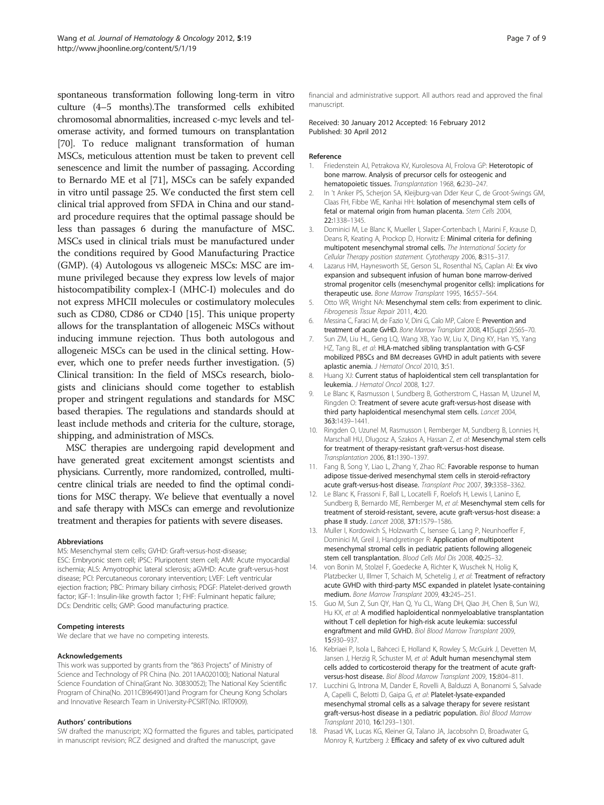<span id="page-6-0"></span>spontaneous transformation following long-term in vitro culture (4–5 months).The transformed cells exhibited chromosomal abnormalities, increased c-myc levels and telomerase activity, and formed tumours on transplantation [[70](#page-8-0)]. To reduce malignant transformation of human MSCs, meticulous attention must be taken to prevent cell senescence and limit the number of passaging. According to Bernardo ME et al [[71](#page-8-0)], MSCs can be safely expanded in vitro until passage 25. We conducted the first stem cell clinical trial approved from SFDA in China and our standard procedure requires that the optimal passage should be less than passages 6 during the manufacture of MSC. MSCs used in clinical trials must be manufactured under the conditions required by Good Manufacturing Practice (GMP). (4) Autologous vs allogeneic MSCs: MSC are immune privileged because they express low levels of major histocompatibility complex-I (MHC-I) molecules and do not express MHCII molecules or costimulatory molecules such as CD80, CD86 or CD40 [15]. This unique property allows for the transplantation of allogeneic MSCs without inducing immune rejection. Thus both autologous and allogeneic MSCs can be used in the clinical setting. However, which one to prefer needs further investigation. (5) Clinical transition: In the field of MSCs research, biologists and clinicians should come together to establish proper and stringent regulations and standards for MSC based therapies. The regulations and standards should at least include methods and criteria for the culture, storage, shipping, and administration of MSCs.

MSC therapies are undergoing rapid development and have generated great excitement amongst scientists and physicians. Currently, more randomized, controlled, multicentre clinical trials are needed to find the optimal conditions for MSC therapy. We believe that eventually a novel and safe therapy with MSCs can emerge and revolutionize treatment and therapies for patients with severe diseases.

#### Abbreviations

MS: Mesenchymal stem cells; GVHD: Graft-versus-host-disease; ESC: Embryonic stem cell; iPSC: Pluripotent stem cell; AMI: Acute myocardial ischemia; ALS: Amyotrophic lateral sclerosis; aGVHD: Acute graft-versus-host disease; PCI: Percutaneous coronary intervention; LVEF: Left ventricular ejection fraction; PBC: Primary biliary cirrhosis; PDGF: Platelet-derived growth factor; IGF-1: Insulin-like growth factor 1; FHF: Fulminant hepatic failure; DCs: Dendritic cells; GMP: Good manufacturing practice.

#### Competing interests

We declare that we have no competing interests.

#### Acknowledgements

This work was supported by grants from the "863 Projects" of Ministry of Science and Technology of PR China (No. 2011AA020100); National Natural Science Foundation of China(Grant No. 30830052); The National Key Scientific Program of China(No. 2011CB964901)and Program for Cheung Kong Scholars and Innovative Research Team in University-PCSIRT(No. IRT0909).

#### Authors' contributions

SW drafted the manuscript; XQ formatted the figures and tables, participated in manuscript revision; RCZ designed and drafted the manuscript, gave

financial and administrative support. All authors read and approved the final manuscript.

Received: 30 January 2012 Accepted: 16 February 2012 Published: 30 April 2012

#### Reference

- 1. Friedenstein AJ, Petrakova KV, Kurolesova AI, Frolova GP: Heterotopic of bone marrow. Analysis of precursor cells for osteogenic and hematopoietic tissues. Transplantation 1968, 6:230-247.
- 2. In 't Anker PS, Scherjon SA, Kleijburg-van Dder Keur C, de Groot-Swings GM, Claas FH, Fibbe WE, Kanhai HH: Isolation of mesenchymal stem cells of fetal or maternal origin from human placenta. Stem Cells 2004, 22:1338–1345.
- Dominici M, Le Blanc K, Mueller I, Slaper-Cortenbach I, Marini F, Krause D, Deans R, Keating A, Prockop D, Horwitz E: Minimal criteria for defining multipotent mesenchymal stromal cells. The International Society for Cellular Therapy position statement. Cytotherapy 2006, 8:315–317.
- 4. Lazarus HM, Haynesworth SE, Gerson SL, Rosenthal NS, Caplan AI: Ex vivo expansion and subsequent infusion of human bone marrow-derived stromal progenitor cells (mesenchymal progenitor cells): implications for therapeutic use. Bone Marrow Transplant 1995, 16:557-564.
- 5. Otto WR, Wright NA: Mesenchymal stem cells: from experiment to clinic. Fibrogenesis Tissue Repair 2011, 4:20.
- 6. Messina C, Faraci M, de Fazio V, Dini G, Calo MP, Calore E: Prevention and treatment of acute GvHD. Bone Marrow Transplant 2008, 41 (Suppl 2):S65-70.
- 7. Sun ZM, Liu HL, Geng LQ, Wang XB, Yao W, Liu X, Ding KY, Han YS, Yang HZ, Tang BL, et al: HLA-matched sibling transplantation with G-CSF mobilized PBSCs and BM decreases GVHD in adult patients with severe aplastic anemia. J Hematol Oncol 2010, 3:51.
- 8. Huang XJ: Current status of haploidentical stem cell transplantation for leukemia. J Hematol Oncol 2008, 1:27.
- 9. Le Blanc K, Rasmusson I, Sundberg B, Gotherstrom C, Hassan M, Uzunel M, Ringden O: Treatment of severe acute graft-versus-host disease with third party haploidentical mesenchymal stem cells. Lancet 2004, 363:1439–1441.
- 10. Ringden O, Uzunel M, Rasmusson I, Remberger M, Sundberg B, Lonnies H, Marschall HU, Dlugosz A, Szakos A, Hassan Z, et al: Mesenchymal stem cells for treatment of therapy-resistant graft-versus-host disease. Transplantation 2006, 81:1390–1397.
- 11. Fang B, Song Y, Liao L, Zhang Y, Zhao RC: Favorable response to human adipose tissue-derived mesenchymal stem cells in steroid-refractory acute graft-versus-host disease. Transplant Proc 2007, 39:3358–3362.
- 12. Le Blanc K, Frassoni F, Ball L, Locatelli F, Roelofs H, Lewis I, Lanino E, Sundberg B, Bernardo ME, Remberger M, et al: Mesenchymal stem cells for treatment of steroid-resistant, severe, acute graft-versus-host disease: a phase II study. Lancet 2008, 371:1579–1586.
- 13. Muller I, Kordowich S, Holzwarth C, Isensee G, Lang P, Neunhoeffer F, Dominici M, Greil J, Handgretinger R: Application of multipotent mesenchymal stromal cells in pediatric patients following allogeneic stem cell transplantation. Blood Cells Mol Dis 2008, 40:25–32.
- 14. von Bonin M, Stolzel F, Goedecke A, Richter K, Wuschek N, Holig K, Platzbecker U, Illmer T, Schaich M, Schetelig J, et al: Treatment of refractory acute GVHD with third-party MSC expanded in platelet lysate-containing medium. Bone Marrow Transplant 2009, 43:245–251.
- 15. Guo M, Sun Z, Sun QY, Han Q, Yu CL, Wang DH, Qiao JH, Chen B, Sun WJ, Hu KX, et al: A modified haploidentical nonmyeloablative transplantation without T cell depletion for high-risk acute leukemia: successful engraftment and mild GVHD. Biol Blood Marrow Transplant 2009, 15:930–937.
- 16. Kebriaei P, Isola L, Bahceci E, Holland K, Rowley S, McGuirk J, Devetten M, Jansen J, Herzig R, Schuster M, et al: Adult human mesenchymal stem cells added to corticosteroid therapy for the treatment of acute graftversus-host disease. Biol Blood Marrow Transplant 2009, 15:804–811.
- 17. Lucchini G, Introna M, Dander E, Rovelli A, Balduzzi A, Bonanomi S, Salvade A, Capelli C, Belotti D, Gaipa G, et al: Platelet-lysate-expanded mesenchymal stromal cells as a salvage therapy for severe resistant graft-versus-host disease in a pediatric population. Biol Blood Marrow Transplant 2010, 16:1293–1301.
- 18. Prasad VK, Lucas KG, Kleiner GI, Talano JA, Jacobsohn D, Broadwater G, Monroy R, Kurtzberg J: Efficacy and safety of ex vivo cultured adult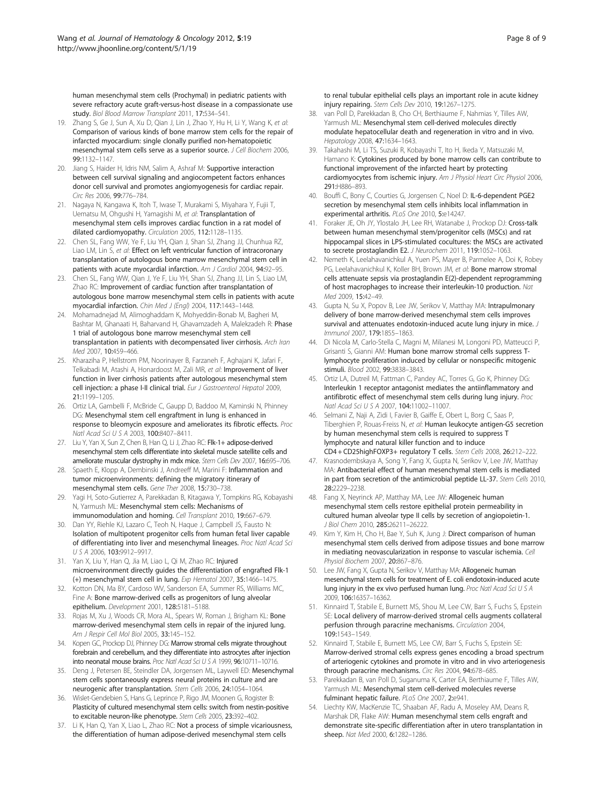<span id="page-7-0"></span>human mesenchymal stem cells (Prochymal) in pediatric patients with severe refractory acute graft-versus-host disease in a compassionate use study. Biol Blood Marrow Transplant 2011, 17:534–541.

- 19. Zhang S, Ge J, Sun A, Xu D, Qian J, Lin J, Zhao Y, Hu H, Li Y, Wang K, et al: Comparison of various kinds of bone marrow stem cells for the repair of infarcted myocardium: single clonally purified non-hematopoietic mesenchymal stem cells serve as a superior source. J Cell Biochem 2006, 99:1132–1147.
- 20. Jiang S, Haider H, Idris NM, Salim A, Ashraf M: Supportive interaction between cell survival signaling and angiocompetent factors enhances donor cell survival and promotes angiomyogenesis for cardiac repair. Circ Res 2006, 99:776–784.
- 21. Nagaya N, Kangawa K, Itoh T, Iwase T, Murakami S, Miyahara Y, Fujii T, Uematsu M, Ohgushi H, Yamagishi M, et al: Transplantation of mesenchymal stem cells improves cardiac function in a rat model of dilated cardiomyopathy. Circulation 2005, 112:1128–1135.
- 22. Chen SL, Fang WW, Ye F, Liu YH, Qian J, Shan SJ, Zhang JJ, Chunhua RZ, Liao LM, Lin S, et al: Effect on left ventricular function of intracoronary transplantation of autologous bone marrow mesenchymal stem cell in patients with acute myocardial infarction. Am J Cardiol 2004, 94:92-95.
- 23. Chen SL, Fang WW, Qian J, Ye F, Liu YH, Shan SJ, Zhang JJ, Lin S, Liao LM, Zhao RC: Improvement of cardiac function after transplantation of autologous bone marrow mesenchymal stem cells in patients with acute myocardial infarction. Chin Med J (Engl) 2004, 117:1443–1448.
- 24. Mohamadnejad M, Alimoghaddam K, Mohyeddin-Bonab M, Bagheri M, Bashtar M, Ghanaati H, Baharvand H, Ghavamzadeh A, Malekzadeh R: Phase 1 trial of autologous bone marrow mesenchymal stem cell transplantation in patients with decompensated liver cirrhosis. Arch Iran Med 2007, 10:459-466.
- 25. Kharaziha P, Hellstrom PM, Noorinayer B, Farzaneh F, Aghajani K, Jafari F, Telkabadi M, Atashi A, Honardoost M, Zali MR, et al: Improvement of liver function in liver cirrhosis patients after autologous mesenchymal stem cell injection: a phase I-II clinical trial. Eur J Gastroenterol Hepatol 2009, 21:1199–1205.
- 26. Ortiz LA, Gambelli F, McBride C, Gaupp D, Baddoo M, Kaminski N, Phinney DG: Mesenchymal stem cell engraftment in lung is enhanced in response to bleomycin exposure and ameliorates its fibrotic effects. Proc Natl Acad Sci U S A 2003, 100:8407–8411.
- 27. Liu Y, Yan X, Sun Z, Chen B, Han Q, Li J, Zhao RC: Flk-1+ adipose-derived mesenchymal stem cells differentiate into skeletal muscle satellite cells and ameliorate muscular dystrophy in mdx mice. Stem Cells Dev 2007, 16:695–706.
- 28. Spaeth E, Klopp A, Dembinski J, Andreeff M, Marini F: Inflammation and tumor microenvironments: defining the migratory itinerary of mesenchymal stem cells. Gene Ther 2008, 15:730–738.
- 29. Yagi H, Soto-Gutierrez A, Parekkadan B, Kitagawa Y, Tompkins RG, Kobayashi N, Yarmush ML: Mesenchymal stem cells: Mechanisms of immunomodulation and homing. Cell Transplant 2010, 19:667–679.
- 30. Dan YY, Riehle KJ, Lazaro C, Teoh N, Haque J, Campbell JS, Fausto N: Isolation of multipotent progenitor cells from human fetal liver capable of differentiating into liver and mesenchymal lineages. Proc Natl Acad Sci USA 2006, 103:9912–9917.
- 31. Yan X, Liu Y, Han Q, Jia M, Liao L, Qi M, Zhao RC: Injured microenvironment directly guides the differentiation of engrafted Flk-1 (+) mesenchymal stem cell in lung. Exp Hematol 2007, 35:1466–1475.
- 32. Kotton DN, Ma BY, Cardoso WV, Sanderson EA, Summer RS, Williams MC, Fine A: Bone marrow-derived cells as progenitors of lung alveolar epithelium. Development 2001, 128:5181–5188.
- 33. Rojas M, Xu J, Woods CR, Mora AL, Spears W, Roman J, Brigham KL: Bone marrow-derived mesenchymal stem cells in repair of the injured lung. Am J Respir Cell Mol Biol 2005, 33:145–152.
- 34. Kopen GC, Prockop DJ, Phinney DG: Marrow stromal cells migrate throughout forebrain and cerebellum, and they differentiate into astrocytes after injection into neonatal mouse brains. Proc Natl Acad Sci U S A 1999, 96:10711–10716.
- 35. Deng J, Petersen BE, Steindler DA, Jorgensen ML, Laywell ED: Mesenchymal stem cells spontaneously express neural proteins in culture and are neurogenic after transplantation. Stem Cells 2006, 24:1054–1064.
- 36. Wislet-Gendebien S, Hans G, Leprince P, Rigo JM, Moonen G, Rogister B: Plasticity of cultured mesenchymal stem cells: switch from nestin-positive to excitable neuron-like phenotype. Stem Cells 2005, 23:392–402.
- 37. Li K, Han Q, Yan X, Liao L, Zhao RC: Not a process of simple vicariousness, the differentiation of human adipose-derived mesenchymal stem cells

to renal tubular epithelial cells plays an important role in acute kidney injury repairing. Stem Cells Dev 2010, 19:1267-1275.

- 38. van Poll D, Parekkadan B, Cho CH, Berthiaume F, Nahmias Y, Tilles AW, Yarmush ML: Mesenchymal stem cell-derived molecules directly modulate hepatocellular death and regeneration in vitro and in vivo. Hepatology 2008, 47:1634–1643.
- 39. Takahashi M, Li TS, Suzuki R, Kobayashi T, Ito H, Ikeda Y, Matsuzaki M, Hamano K: Cytokines produced by bone marrow cells can contribute to functional improvement of the infarcted heart by protecting cardiomyocytes from ischemic injury. Am J Physiol Heart Circ Physiol 2006, 291:H886–893.
- 40. Bouffi C, Bony C, Courties G, Jorgensen C, Noel D: IL-6-dependent PGE2 secretion by mesenchymal stem cells inhibits local inflammation in experimental arthritis. PLoS One 2010, 5:e14247.
- 41. Foraker JE, Oh JY, Ylostalo JH, Lee RH, Watanabe J, Prockop DJ: Cross-talk between human mesenchymal stem/progenitor cells (MSCs) and rat hippocampal slices in LPS-stimulated cocultures: the MSCs are activated to secrete prostaglandin E2. J Neurochem 2011, 119:1052–1063.
- 42. Nemeth K, Leelahavanichkul A, Yuen PS, Mayer B, Parmelee A, Doi K, Robey PG, Leelahavanichkul K, Koller BH, Brown JM, et al: Bone marrow stromal cells attenuate sepsis via prostaglandin E(2)-dependent reprogramming of host macrophages to increase their interleukin-10 production. Nat Med 2009, 15:42–49.
- 43. Gupta N, Su X, Popov B, Lee JW, Serikov V, Matthay MA: Intrapulmonary delivery of bone marrow-derived mesenchymal stem cells improves survival and attenuates endotoxin-induced acute lung injury in mice. J Immunol 2007, 179:1855–1863.
- 44. Di Nicola M, Carlo-Stella C, Magni M, Milanesi M, Longoni PD, Matteucci P, Grisanti S, Gianni AM: Human bone marrow stromal cells suppress Tlymphocyte proliferation induced by cellular or nonspecific mitogenic stimuli. Blood 2002, 99:3838–3843.
- 45. Ortiz LA, Dutreil M, Fattman C, Pandey AC, Torres G, Go K, Phinney DG: Interleukin 1 receptor antagonist mediates the antiinflammatory and antifibrotic effect of mesenchymal stem cells during lung injury. Proc Natl Acad Sci U S A 2007, 104:11002–11007.
- 46. Selmani Z, Naji A, Zidi I, Favier B, Gaiffe E, Obert L, Borg C, Saas P, Tiberghien P, Rouas-Freiss N, et al: Human leukocyte antigen-G5 secretion by human mesenchymal stem cells is required to suppress T lymphocyte and natural killer function and to induce CD4 + CD25highFOXP3+ regulatory T cells. Stem Cells 2008, 26:212–222.
- 47. Krasnodembskaya A, Song Y, Fang X, Gupta N, Serikov V, Lee JW, Matthay MA: Antibacterial effect of human mesenchymal stem cells is mediated in part from secretion of the antimicrobial peptide LL-37. Stem Cells 2010, 28:2229–2238.
- 48. Fang X, Neyrinck AP, Matthay MA, Lee JW: Allogeneic human mesenchymal stem cells restore epithelial protein permeability in cultured human alveolar type II cells by secretion of angiopoietin-1. J Biol Chem 2010, 285:26211–26222.
- 49. Kim Y, Kim H, Cho H, Bae Y, Suh K, Jung J: Direct comparison of human mesenchymal stem cells derived from adipose tissues and bone marrow in mediating neovascularization in response to vascular ischemia. Cell Physiol Biochem 2007, 20:867–876.
- 50. Lee JW, Fang X, Gupta N, Serikov V, Matthay MA: Allogeneic human mesenchymal stem cells for treatment of E. coli endotoxin-induced acute lung injury in the ex vivo perfused human lung. Proc Natl Acad Sci  $\cup$  S A 2009, 106:16357–16362.
- 51. Kinnaird T, Stabile E, Burnett MS, Shou M, Lee CW, Barr S, Fuchs S, Epstein SE: Local delivery of marrow-derived stromal cells augments collateral perfusion through paracrine mechanisms. Circulation 2004, 109:1543–1549.
- 52. Kinnaird T, Stabile E, Burnett MS, Lee CW, Barr S, Fuchs S, Epstein SE: Marrow-derived stromal cells express genes encoding a broad spectrum of arteriogenic cytokines and promote in vitro and in vivo arteriogenesis through paracrine mechanisms. Circ Res 2004, 94:678-685.
- 53. Parekkadan B, van Poll D, Suganuma K, Carter EA, Berthiaume F, Tilles AW, Yarmush ML: Mesenchymal stem cell-derived molecules reverse fulminant hepatic failure. PLoS One 2007, 2:e941.
- Liechty KW, MacKenzie TC, Shaaban AF, Radu A, Moseley AM, Deans R, Marshak DR, Flake AW: Human mesenchymal stem cells engraft and demonstrate site-specific differentiation after in utero transplantation in sheep. Nat Med 2000, 6:1282–1286.